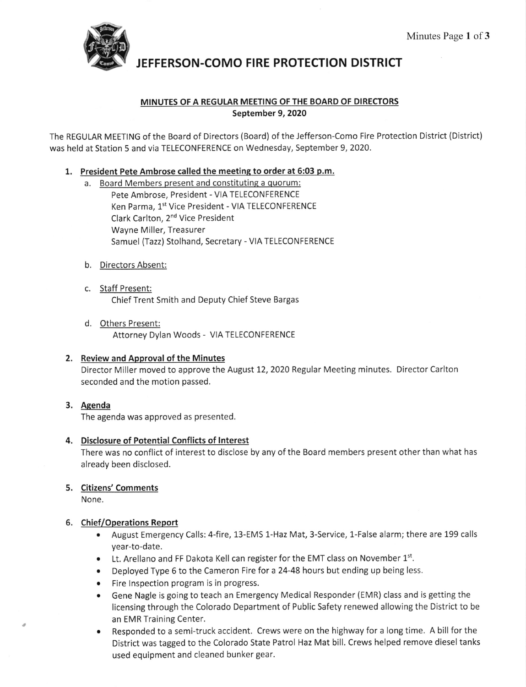

JEFFERSON.COMO FIRE PROTECTION DISTRICT

# MINUTES OF A REGULAR MEETING OF THE BOARD OF DIRECTORS September 9, 2020

The REGULAR MEETING of the Board of Directors (Board) of the Jefferson-Como Fire Protection District (District) was held at Station 5 and via TELECONFERENCE on Wednesday, September 9,2020.

### 1. President Pete Ambrose called the meeting to order at 6:03 p.m.

- a. Board Members present and constituting a quorum: Pete Ambrose, President - VIA TELECONFERENCE Ken Parma, 1st Vice President - VIA TELECONFERENCE Clark Carlton, 2nd Vice President Wayne Miller, Treasurer Samuel (Tazz) Stolhand, Secretary - VIA TELECONFERENCE
- b. <u>Directors Absent</u>
- c. Staff Present: Chief Trent Smith and Deputy Chief Steve Bargas
- d, Others Present: Attorney Dylan Woods - VIA TELECONFERENCE

### 2. Review and Approval of the Minutes

Director Miller moved to approve the August 12, 2020 Regular Meeting minutes. Director Carlton seconded and the motion passed.

### 3. Agenda

The agenda was approved as presented.

## 4. Disclosure of Potential Conflicts of Interest

There was no conflict of interest to disclose by any of the Board members present other than what has already been disclosed.

### 5. <u>Citizens' Comments</u>

None.

### 6. Chief/Operations Report

- August Emergency Calls: 4-fire, 13-EMS 1-Haz Mat, 3-Service, 1-False alarm; there are 199 calls year-to-date.
- $\bullet$  Lt. Arellano and FF Dakota Kell can register for the EMT class on November  $1<sup>st</sup>$ .
- . Deployed Type 6 to the Cameron Fire for a24-48 hours but ending up being less.
- Fire Inspection program is in progress.
- Gene Nagle is going to teach an Emergency Medical Responder (EMR) class and is getting the licensing through the Colorado Department of Public Safety renewed allowing the District to be an EMR Training Center.
- Responded to a semi-truck accident. Crews were on the highway for a long time. A bill for the District was tagged to the Colorado State Patrol Haz Mat bill. Crews helped remove diesel tanks used equipment and cleaned bunker gear.